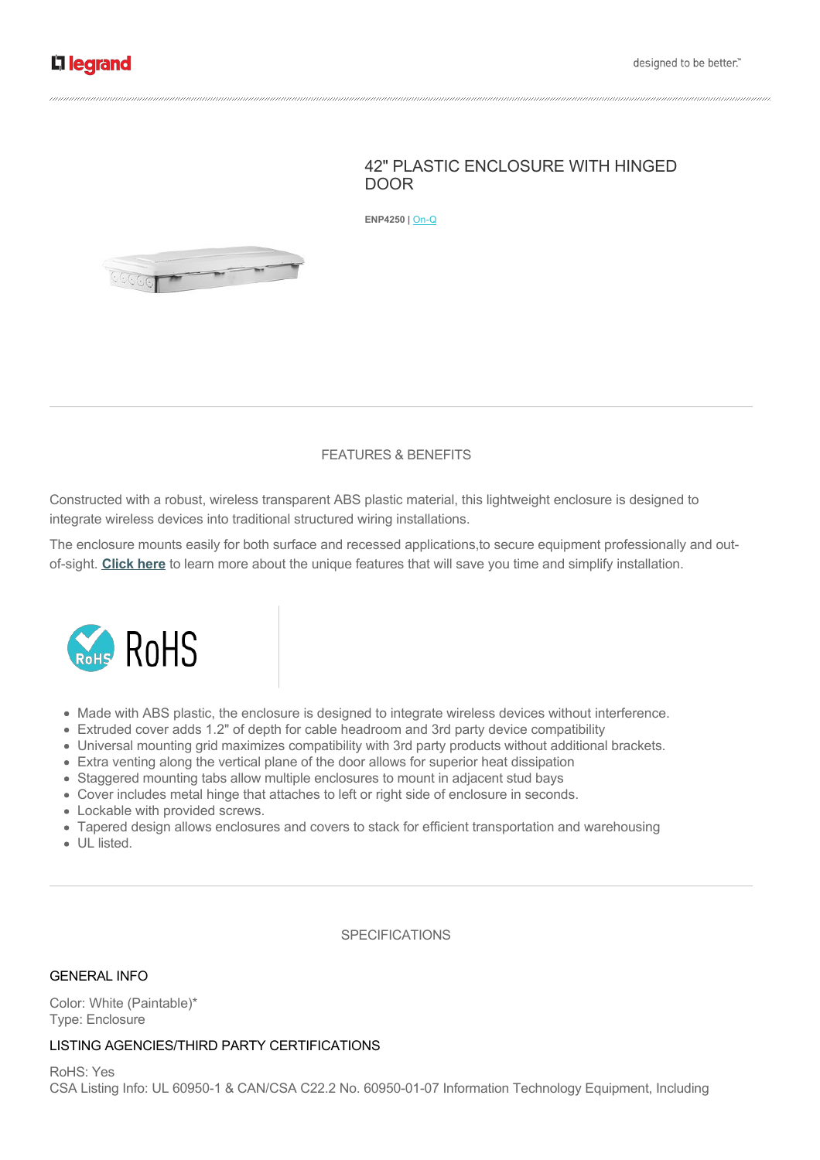# 42" PLASTIC ENCLOSURE WITH HINGED DOOR

**ENP4250 | On-Q** 



## FEATURES & BENEFITS

Constructed with a robust, wireless transparent ABS plastic material, this lightweight enclosure is designed to integrate wireless devices into traditional structured wiring installations.

The enclosure mounts easily for both surface and recessed applications,to secure equipment professionally and outof-sight. **[Click here](/onq/plastic-enclosures.aspx)** to learn more about the unique features that will save you time and simplify installation.



- Made with ABS plastic, the enclosure is designed to integrate wireless devices without interference.
- Extruded cover adds 1.2" of depth for cable headroom and 3rd party device compatibility
- Universal mounting grid maximizes compatibility with 3rd party products without additional brackets.
- Extra venting along the vertical plane of the door allows for superior heat dissipation
- Staggered mounting tabs allow multiple enclosures to mount in adjacent stud bays
- Cover includes metal hinge that attaches to left or right side of enclosure in seconds.
- Lockable with provided screws.
- Tapered design allows enclosures and covers to stack for efficient transportation and warehousing
- UL listed.

SPECIFICATIONS

### GENERAL INFO

Color: White (Paintable)\* Type: Enclosure

### LISTING AGENCIES/THIRD PARTY CERTIFICATIONS

RoHS: Yes CSA Listing Info: UL 60950-1 & CAN/CSA C22.2 No. 60950-01-07 Information Technology Equipment, Including